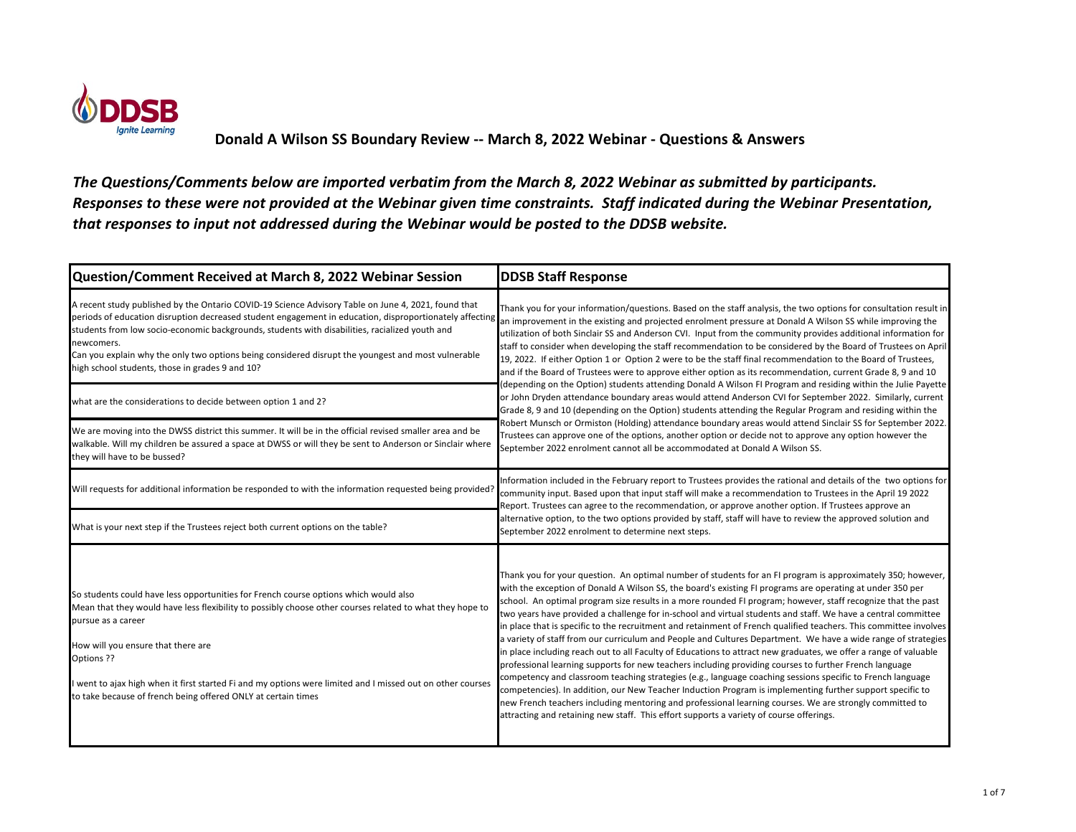

| Question/Comment Received at March 8, 2022 Webinar Session                                                                                                                                                                                                                                                                                                                                                                                                                                                                                               | <b>DDSB Staff Response</b>                                                                                                                                                                                                                                                                                                                                                                                                                                                                                                                                                                                                                                                                                                                                                                                                                                                                                                                                                                                                                                                                                                                                                                                                                                                                                                                                     |
|----------------------------------------------------------------------------------------------------------------------------------------------------------------------------------------------------------------------------------------------------------------------------------------------------------------------------------------------------------------------------------------------------------------------------------------------------------------------------------------------------------------------------------------------------------|----------------------------------------------------------------------------------------------------------------------------------------------------------------------------------------------------------------------------------------------------------------------------------------------------------------------------------------------------------------------------------------------------------------------------------------------------------------------------------------------------------------------------------------------------------------------------------------------------------------------------------------------------------------------------------------------------------------------------------------------------------------------------------------------------------------------------------------------------------------------------------------------------------------------------------------------------------------------------------------------------------------------------------------------------------------------------------------------------------------------------------------------------------------------------------------------------------------------------------------------------------------------------------------------------------------------------------------------------------------|
| A recent study published by the Ontario COVID-19 Science Advisory Table on June 4, 2021, found that<br>periods of education disruption decreased student engagement in education, disproportionately affecting<br>students from low socio-economic backgrounds, students with disabilities, racialized youth and<br>newcomers.<br>Can you explain why the only two options being considered disrupt the youngest and most vulnerable<br>high school students, those in grades 9 and 10?<br>what are the considerations to decide between option 1 and 2? | Thank you for your information/questions. Based on the staff analysis, the two options for consultation result in<br>an improvement in the existing and projected enrolment pressure at Donald A Wilson SS while improving the<br>utilization of both Sinclair SS and Anderson CVI. Input from the community provides additional information for<br>staff to consider when developing the staff recommendation to be considered by the Board of Trustees on April<br>19, 2022. If either Option 1 or Option 2 were to be the staff final recommendation to the Board of Trustees,<br>and if the Board of Trustees were to approve either option as its recommendation, current Grade 8, 9 and 10<br>(depending on the Option) students attending Donald A Wilson FI Program and residing within the Julie Payette<br>or John Dryden attendance boundary areas would attend Anderson CVI for September 2022. Similarly, current<br>Grade 8, 9 and 10 (depending on the Option) students attending the Regular Program and residing within the<br>Robert Munsch or Ormiston (Holding) attendance boundary areas would attend Sinclair SS for September 2022.<br>Trustees can approve one of the options, another option or decide not to approve any option however the<br>September 2022 enrolment cannot all be accommodated at Donald A Wilson SS.            |
| We are moving into the DWSS district this summer. It will be in the official revised smaller area and be<br>walkable. Will my children be assured a space at DWSS or will they be sent to Anderson or Sinclair where<br>they will have to be bussed?                                                                                                                                                                                                                                                                                                     |                                                                                                                                                                                                                                                                                                                                                                                                                                                                                                                                                                                                                                                                                                                                                                                                                                                                                                                                                                                                                                                                                                                                                                                                                                                                                                                                                                |
| Will requests for additional information be responded to with the information requested being provided?                                                                                                                                                                                                                                                                                                                                                                                                                                                  | Information included in the February report to Trustees provides the rational and details of the two options for<br>community input. Based upon that input staff will make a recommendation to Trustees in the April 19 2022<br>Report. Trustees can agree to the recommendation, or approve another option. If Trustees approve an<br>alternative option, to the two options provided by staff, staff will have to review the approved solution and<br>September 2022 enrolment to determine next steps.                                                                                                                                                                                                                                                                                                                                                                                                                                                                                                                                                                                                                                                                                                                                                                                                                                                      |
| What is your next step if the Trustees reject both current options on the table?                                                                                                                                                                                                                                                                                                                                                                                                                                                                         |                                                                                                                                                                                                                                                                                                                                                                                                                                                                                                                                                                                                                                                                                                                                                                                                                                                                                                                                                                                                                                                                                                                                                                                                                                                                                                                                                                |
| So students could have less opportunities for French course options which would also<br>Mean that they would have less flexibility to possibly choose other courses related to what they hope to<br>pursue as a career<br>How will you ensure that there are<br>Options ??<br>I went to ajax high when it first started Fi and my options were limited and I missed out on other courses<br>to take because of french being offered ONLY at certain times                                                                                                | Thank you for your question. An optimal number of students for an FI program is approximately 350; however,<br>with the exception of Donald A Wilson SS, the board's existing FI programs are operating at under 350 per<br>school. An optimal program size results in a more rounded FI program; however, staff recognize that the past<br>two years have provided a challenge for in-school and virtual students and staff. We have a central committee<br>in place that is specific to the recruitment and retainment of French qualified teachers. This committee involves<br>a variety of staff from our curriculum and People and Cultures Department. We have a wide range of strategies<br>in place including reach out to all Faculty of Educations to attract new graduates, we offer a range of valuable<br>professional learning supports for new teachers including providing courses to further French language<br>competency and classroom teaching strategies (e.g., language coaching sessions specific to French language<br>competencies). In addition, our New Teacher Induction Program is implementing further support specific to<br>new French teachers including mentoring and professional learning courses. We are strongly committed to<br>attracting and retaining new staff. This effort supports a variety of course offerings. |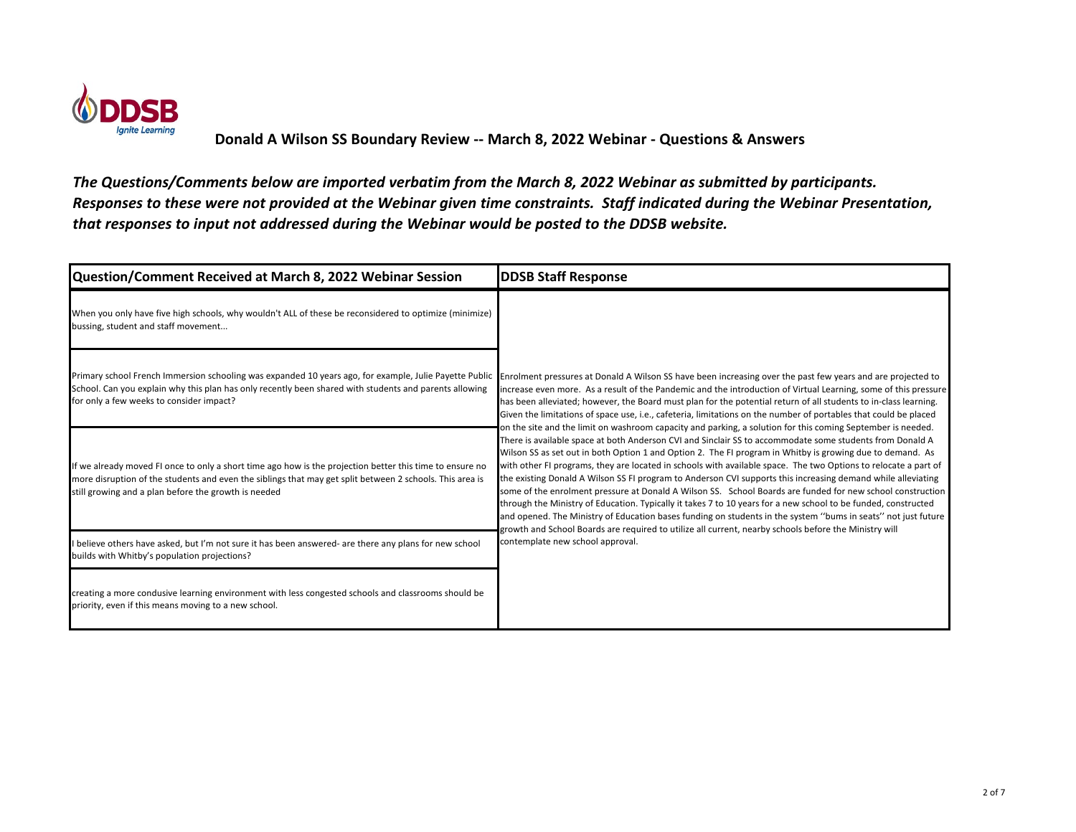

| Question/Comment Received at March 8, 2022 Webinar Session                                                                                                                                                                                                                   | <b>DDSB Staff Response</b>                                                                                                                                                                                                                                                                                                                                                                                                                                                                                                                                                                                                                                                                                                                                                                                                                                                                                                                                                                                                                                                                                                                                                                                                                                                                                                                                                                                                                                                                                                                      |
|------------------------------------------------------------------------------------------------------------------------------------------------------------------------------------------------------------------------------------------------------------------------------|-------------------------------------------------------------------------------------------------------------------------------------------------------------------------------------------------------------------------------------------------------------------------------------------------------------------------------------------------------------------------------------------------------------------------------------------------------------------------------------------------------------------------------------------------------------------------------------------------------------------------------------------------------------------------------------------------------------------------------------------------------------------------------------------------------------------------------------------------------------------------------------------------------------------------------------------------------------------------------------------------------------------------------------------------------------------------------------------------------------------------------------------------------------------------------------------------------------------------------------------------------------------------------------------------------------------------------------------------------------------------------------------------------------------------------------------------------------------------------------------------------------------------------------------------|
| When you only have five high schools, why wouldn't ALL of these be reconsidered to optimize (minimize)<br>bussing, student and staff movement                                                                                                                                |                                                                                                                                                                                                                                                                                                                                                                                                                                                                                                                                                                                                                                                                                                                                                                                                                                                                                                                                                                                                                                                                                                                                                                                                                                                                                                                                                                                                                                                                                                                                                 |
| Primary school French Immersion schooling was expanded 10 years ago, for example, Julie Payette Public<br>School. Can you explain why this plan has only recently been shared with students and parents allowing<br>for only a few weeks to consider impact?                 | Enrolment pressures at Donald A Wilson SS have been increasing over the past few years and are projected to<br>increase even more. As a result of the Pandemic and the introduction of Virtual Learning, some of this pressure<br>has been alleviated; however, the Board must plan for the potential return of all students to in-class learning.<br>Given the limitations of space use, i.e., cafeteria, limitations on the number of portables that could be placed<br>on the site and the limit on washroom capacity and parking, a solution for this coming September is needed.<br>There is available space at both Anderson CVI and Sinclair SS to accommodate some students from Donald A<br>Wilson SS as set out in both Option 1 and Option 2. The FI program in Whitby is growing due to demand. As<br>with other FI programs, they are located in schools with available space. The two Options to relocate a part of<br>the existing Donald A Wilson SS FI program to Anderson CVI supports this increasing demand while alleviating<br>some of the enrolment pressure at Donald A Wilson SS. School Boards are funded for new school construction<br>through the Ministry of Education. Typically it takes 7 to 10 years for a new school to be funded, constructed<br>and opened. The Ministry of Education bases funding on students in the system "bums in seats" not just future<br>growth and School Boards are required to utilize all current, nearby schools before the Ministry will<br>contemplate new school approval. |
| If we already moved FI once to only a short time ago how is the projection better this time to ensure no<br>more disruption of the students and even the siblings that may get split between 2 schools. This area is<br>still growing and a plan before the growth is needed |                                                                                                                                                                                                                                                                                                                                                                                                                                                                                                                                                                                                                                                                                                                                                                                                                                                                                                                                                                                                                                                                                                                                                                                                                                                                                                                                                                                                                                                                                                                                                 |
| I believe others have asked, but I'm not sure it has been answered- are there any plans for new school<br>builds with Whitby's population projections?                                                                                                                       |                                                                                                                                                                                                                                                                                                                                                                                                                                                                                                                                                                                                                                                                                                                                                                                                                                                                                                                                                                                                                                                                                                                                                                                                                                                                                                                                                                                                                                                                                                                                                 |
| creating a more condusive learning environment with less congested schools and classrooms should be<br>priority, even if this means moving to a new school.                                                                                                                  |                                                                                                                                                                                                                                                                                                                                                                                                                                                                                                                                                                                                                                                                                                                                                                                                                                                                                                                                                                                                                                                                                                                                                                                                                                                                                                                                                                                                                                                                                                                                                 |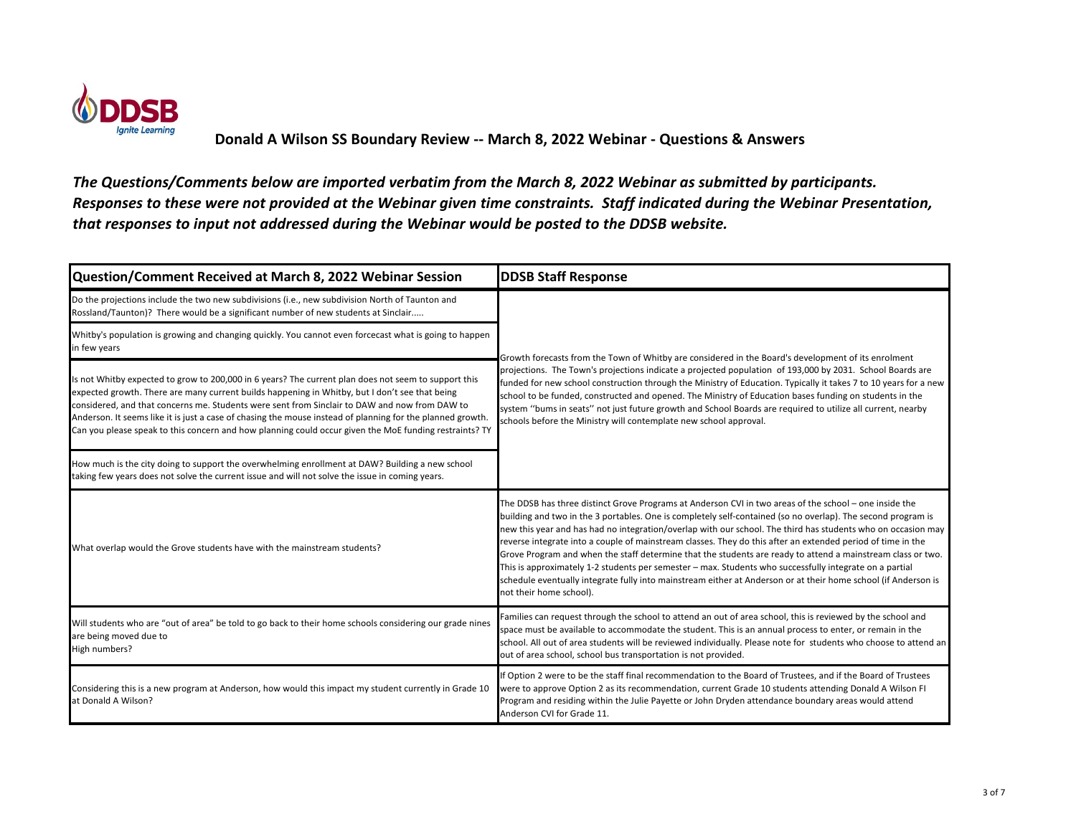

| Question/Comment Received at March 8, 2022 Webinar Session                                                                                                                                                                                                                                                                                                                                                                                                                                                                      | <b>DDSB Staff Response</b>                                                                                                                                                                                                                                                                                                                                                                                                                                                                                                                                                                                                                                                                                                                                                                                                   |
|---------------------------------------------------------------------------------------------------------------------------------------------------------------------------------------------------------------------------------------------------------------------------------------------------------------------------------------------------------------------------------------------------------------------------------------------------------------------------------------------------------------------------------|------------------------------------------------------------------------------------------------------------------------------------------------------------------------------------------------------------------------------------------------------------------------------------------------------------------------------------------------------------------------------------------------------------------------------------------------------------------------------------------------------------------------------------------------------------------------------------------------------------------------------------------------------------------------------------------------------------------------------------------------------------------------------------------------------------------------------|
| Do the projections include the two new subdivisions (i.e., new subdivision North of Taunton and<br>Rossland/Taunton)? There would be a significant number of new students at Sinclair                                                                                                                                                                                                                                                                                                                                           | Growth forecasts from the Town of Whitby are considered in the Board's development of its enrolment<br>projections. The Town's projections indicate a projected population of 193,000 by 2031. School Boards are<br>funded for new school construction through the Ministry of Education. Typically it takes 7 to 10 years for a new<br>school to be funded, constructed and opened. The Ministry of Education bases funding on students in the<br>system "bums in seats" not just future growth and School Boards are required to utilize all current, nearby<br>schools before the Ministry will contemplate new school approval.                                                                                                                                                                                          |
| Whitby's population is growing and changing quickly. You cannot even forcecast what is going to happen<br>in few years                                                                                                                                                                                                                                                                                                                                                                                                          |                                                                                                                                                                                                                                                                                                                                                                                                                                                                                                                                                                                                                                                                                                                                                                                                                              |
| Is not Whitby expected to grow to 200,000 in 6 years? The current plan does not seem to support this<br>expected growth. There are many current builds happening in Whitby, but I don't see that being<br>considered, and that concerns me. Students were sent from Sinclair to DAW and now from DAW to<br>Anderson. It seems like it is just a case of chasing the mouse instead of planning for the planned growth.<br>Can you please speak to this concern and how planning could occur given the MoE funding restraints? TY |                                                                                                                                                                                                                                                                                                                                                                                                                                                                                                                                                                                                                                                                                                                                                                                                                              |
| How much is the city doing to support the overwhelming enrollment at DAW? Building a new school<br>taking few years does not solve the current issue and will not solve the issue in coming years.                                                                                                                                                                                                                                                                                                                              |                                                                                                                                                                                                                                                                                                                                                                                                                                                                                                                                                                                                                                                                                                                                                                                                                              |
| What overlap would the Grove students have with the mainstream students?                                                                                                                                                                                                                                                                                                                                                                                                                                                        | The DDSB has three distinct Grove Programs at Anderson CVI in two areas of the school - one inside the<br>building and two in the 3 portables. One is completely self-contained (so no overlap). The second program is<br>new this year and has had no integration/overlap with our school. The third has students who on occasion may<br>reverse integrate into a couple of mainstream classes. They do this after an extended period of time in the<br>Grove Program and when the staff determine that the students are ready to attend a mainstream class or two.<br>This is approximately 1-2 students per semester - max. Students who successfully integrate on a partial<br>schedule eventually integrate fully into mainstream either at Anderson or at their home school (if Anderson is<br>not their home school). |
| Will students who are "out of area" be told to go back to their home schools considering our grade nines<br>are being moved due to<br>High numbers?                                                                                                                                                                                                                                                                                                                                                                             | Families can request through the school to attend an out of area school, this is reviewed by the school and<br>space must be available to accommodate the student. This is an annual process to enter, or remain in the<br>school. All out of area students will be reviewed individually. Please note for students who choose to attend an<br>out of area school, school bus transportation is not provided.                                                                                                                                                                                                                                                                                                                                                                                                                |
| Considering this is a new program at Anderson, how would this impact my student currently in Grade 10<br>at Donald A Wilson?                                                                                                                                                                                                                                                                                                                                                                                                    | If Option 2 were to be the staff final recommendation to the Board of Trustees, and if the Board of Trustees<br>were to approve Option 2 as its recommendation, current Grade 10 students attending Donald A Wilson FI<br>Program and residing within the Julie Payette or John Dryden attendance boundary areas would attend<br>Anderson CVI for Grade 11.                                                                                                                                                                                                                                                                                                                                                                                                                                                                  |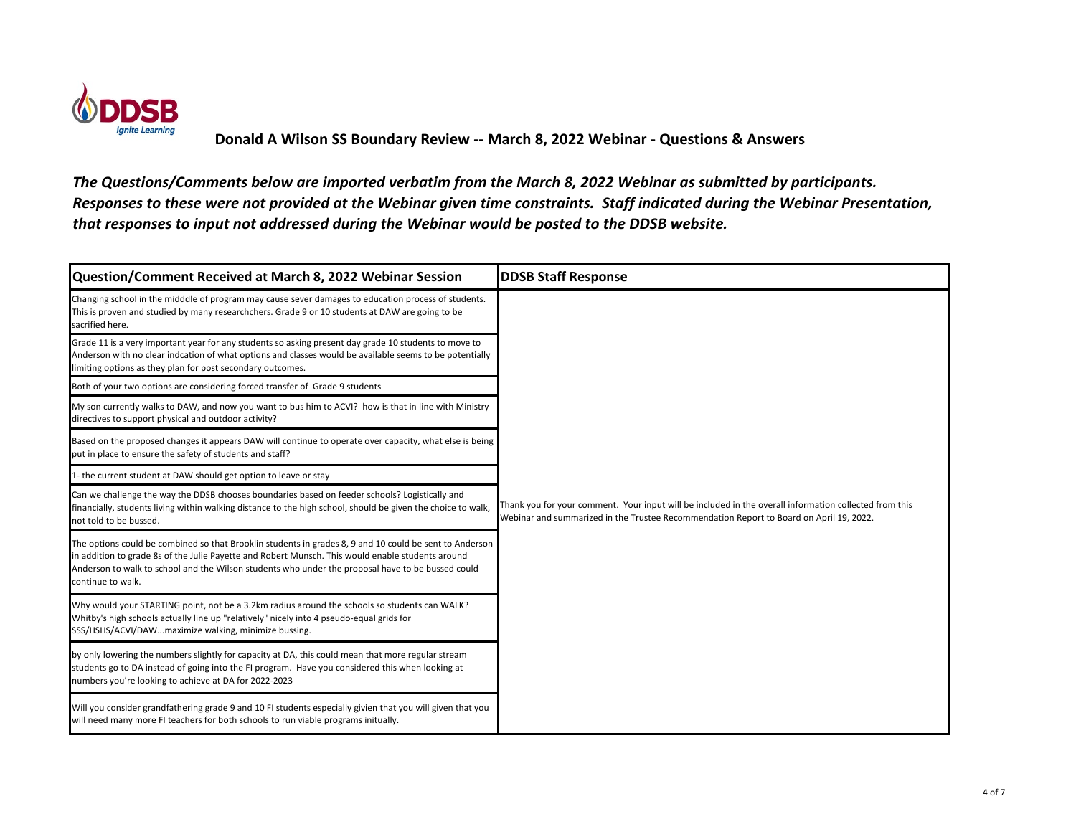

| Question/Comment Received at March 8, 2022 Webinar Session                                                                                                                                                                                                                                                                             | <b>DDSB Staff Response</b>                                                                                                                                                                        |
|----------------------------------------------------------------------------------------------------------------------------------------------------------------------------------------------------------------------------------------------------------------------------------------------------------------------------------------|---------------------------------------------------------------------------------------------------------------------------------------------------------------------------------------------------|
| Changing school in the midddle of program may cause sever damages to education process of students.<br>This is proven and studied by many researchchers. Grade 9 or 10 students at DAW are going to be<br>sacrified here.                                                                                                              |                                                                                                                                                                                                   |
| Grade 11 is a very important year for any students so asking present day grade 10 students to move to<br>Anderson with no clear indcation of what options and classes would be available seems to be potentially<br>limiting options as they plan for post secondary outcomes.                                                         |                                                                                                                                                                                                   |
| Both of your two options are considering forced transfer of Grade 9 students                                                                                                                                                                                                                                                           |                                                                                                                                                                                                   |
| My son currently walks to DAW, and now you want to bus him to ACVI? how is that in line with Ministry<br>directives to support physical and outdoor activity?                                                                                                                                                                          |                                                                                                                                                                                                   |
| Based on the proposed changes it appears DAW will continue to operate over capacity, what else is being<br>put in place to ensure the safety of students and staff?                                                                                                                                                                    |                                                                                                                                                                                                   |
| 1- the current student at DAW should get option to leave or stay                                                                                                                                                                                                                                                                       |                                                                                                                                                                                                   |
| Can we challenge the way the DDSB chooses boundaries based on feeder schools? Logistically and<br>financially, students living within walking distance to the high school, should be given the choice to walk,<br>not told to be bussed.                                                                                               | Thank you for your comment. Your input will be included in the overall information collected from this<br>Webinar and summarized in the Trustee Recommendation Report to Board on April 19, 2022. |
| The options could be combined so that Brooklin students in grades 8, 9 and 10 could be sent to Anderson<br>in addition to grade 8s of the Julie Payette and Robert Munsch. This would enable students around<br>Anderson to walk to school and the Wilson students who under the proposal have to be bussed could<br>continue to walk. |                                                                                                                                                                                                   |
| Why would your STARTING point, not be a 3.2km radius around the schools so students can WALK?<br>Whitby's high schools actually line up "relatively" nicely into 4 pseudo-equal grids for<br>SSS/HSHS/ACVI/DAWmaximize walking, minimize bussing.                                                                                      |                                                                                                                                                                                                   |
| by only lowering the numbers slightly for capacity at DA, this could mean that more regular stream<br>students go to DA instead of going into the FI program. Have you considered this when looking at<br>numbers you're looking to achieve at DA for 2022-2023                                                                        |                                                                                                                                                                                                   |
| Will you consider grandfathering grade 9 and 10 FI students especially givien that you will given that you<br>will need many more FI teachers for both schools to run viable programs initually.                                                                                                                                       |                                                                                                                                                                                                   |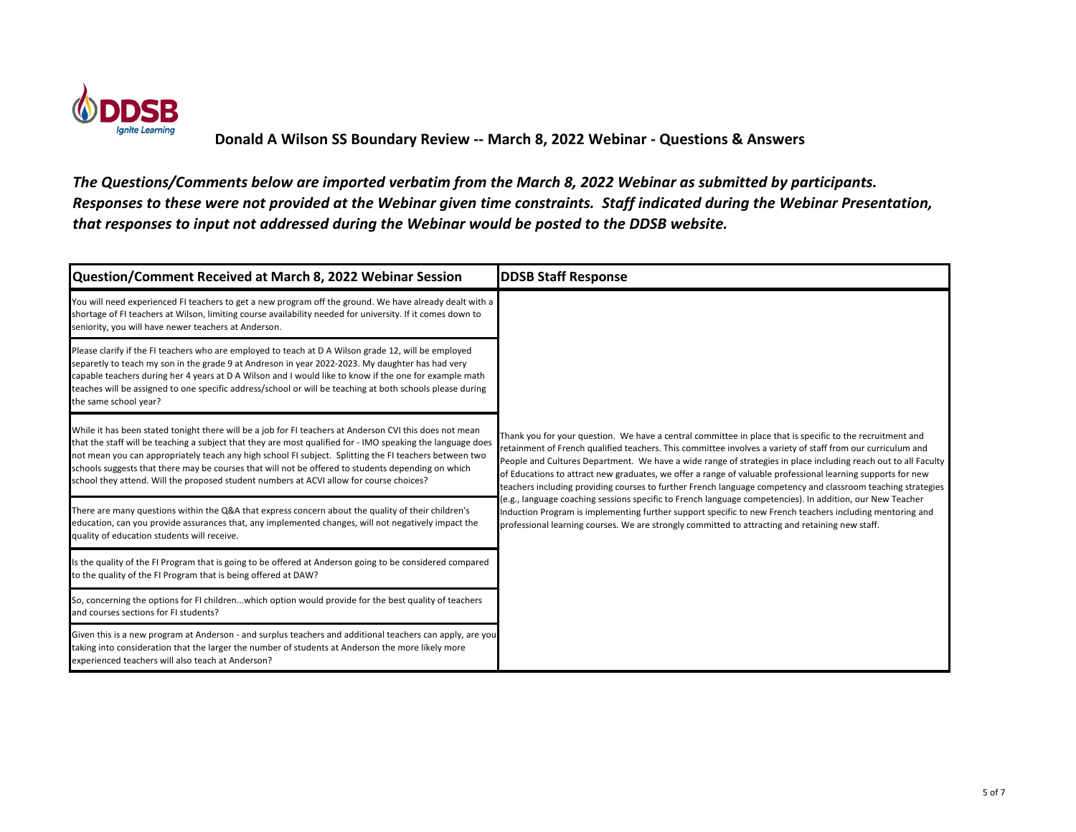

| Question/Comment Received at March 8, 2022 Webinar Session                                                                                                                                                                                                                                                                                                                                                                                                                                                                        | <b>DDSB Staff Response</b>                                                                                                                                                                                                                                                                                                                                                                                                                                                                                                                                                                                                                                                                                                                                                                                                                                                                            |
|-----------------------------------------------------------------------------------------------------------------------------------------------------------------------------------------------------------------------------------------------------------------------------------------------------------------------------------------------------------------------------------------------------------------------------------------------------------------------------------------------------------------------------------|-------------------------------------------------------------------------------------------------------------------------------------------------------------------------------------------------------------------------------------------------------------------------------------------------------------------------------------------------------------------------------------------------------------------------------------------------------------------------------------------------------------------------------------------------------------------------------------------------------------------------------------------------------------------------------------------------------------------------------------------------------------------------------------------------------------------------------------------------------------------------------------------------------|
| You will need experienced FI teachers to get a new program off the ground. We have already dealt with a<br>shortage of FI teachers at Wilson, limiting course availability needed for university. If it comes down to<br>seniority, you will have newer teachers at Anderson.                                                                                                                                                                                                                                                     | Thank you for your question. We have a central committee in place that is specific to the recruitment and<br>retainment of French qualified teachers. This committee involves a variety of staff from our curriculum and<br>People and Cultures Department. We have a wide range of strategies in place including reach out to all Faculty<br>of Educations to attract new graduates, we offer a range of valuable professional learning supports for new<br>teachers including providing courses to further French language competency and classroom teaching strategies<br>e.g., language coaching sessions specific to French language competencies). In addition, our New Teacher<br>Induction Program is implementing further support specific to new French teachers including mentoring and<br>professional learning courses. We are strongly committed to attracting and retaining new staff. |
| Please clarify if the FI teachers who are employed to teach at D A Wilson grade 12, will be employed<br>separetly to teach my son in the grade 9 at Andreson in year 2022-2023. My daughter has had very<br>capable teachers during her 4 years at D A Wilson and I would like to know if the one for example math<br>teaches will be assigned to one specific address/school or will be teaching at both schools please during<br>the same school year?                                                                          |                                                                                                                                                                                                                                                                                                                                                                                                                                                                                                                                                                                                                                                                                                                                                                                                                                                                                                       |
| While it has been stated tonight there will be a job for FI teachers at Anderson CVI this does not mean<br>that the staff will be teaching a subject that they are most qualified for - IMO speaking the language does<br>not mean you can appropriately teach any high school FI subject. Splitting the FI teachers between two<br>schools suggests that there may be courses that will not be offered to students depending on which<br>school they attend. Will the proposed student numbers at ACVI allow for course choices? |                                                                                                                                                                                                                                                                                                                                                                                                                                                                                                                                                                                                                                                                                                                                                                                                                                                                                                       |
| There are many questions within the Q&A that express concern about the quality of their children's<br>education, can you provide assurances that, any implemented changes, will not negatively impact the<br>quality of education students will receive.                                                                                                                                                                                                                                                                          |                                                                                                                                                                                                                                                                                                                                                                                                                                                                                                                                                                                                                                                                                                                                                                                                                                                                                                       |
| Is the quality of the FI Program that is going to be offered at Anderson going to be considered compared<br>to the quality of the FI Program that is being offered at DAW?                                                                                                                                                                                                                                                                                                                                                        |                                                                                                                                                                                                                                                                                                                                                                                                                                                                                                                                                                                                                                                                                                                                                                                                                                                                                                       |
| So, concerning the options for FI childrenwhich option would provide for the best quality of teachers<br>and courses sections for FI students?                                                                                                                                                                                                                                                                                                                                                                                    |                                                                                                                                                                                                                                                                                                                                                                                                                                                                                                                                                                                                                                                                                                                                                                                                                                                                                                       |
| Given this is a new program at Anderson - and surplus teachers and additional teachers can apply, are you<br>taking into consideration that the larger the number of students at Anderson the more likely more<br>experienced teachers will also teach at Anderson?                                                                                                                                                                                                                                                               |                                                                                                                                                                                                                                                                                                                                                                                                                                                                                                                                                                                                                                                                                                                                                                                                                                                                                                       |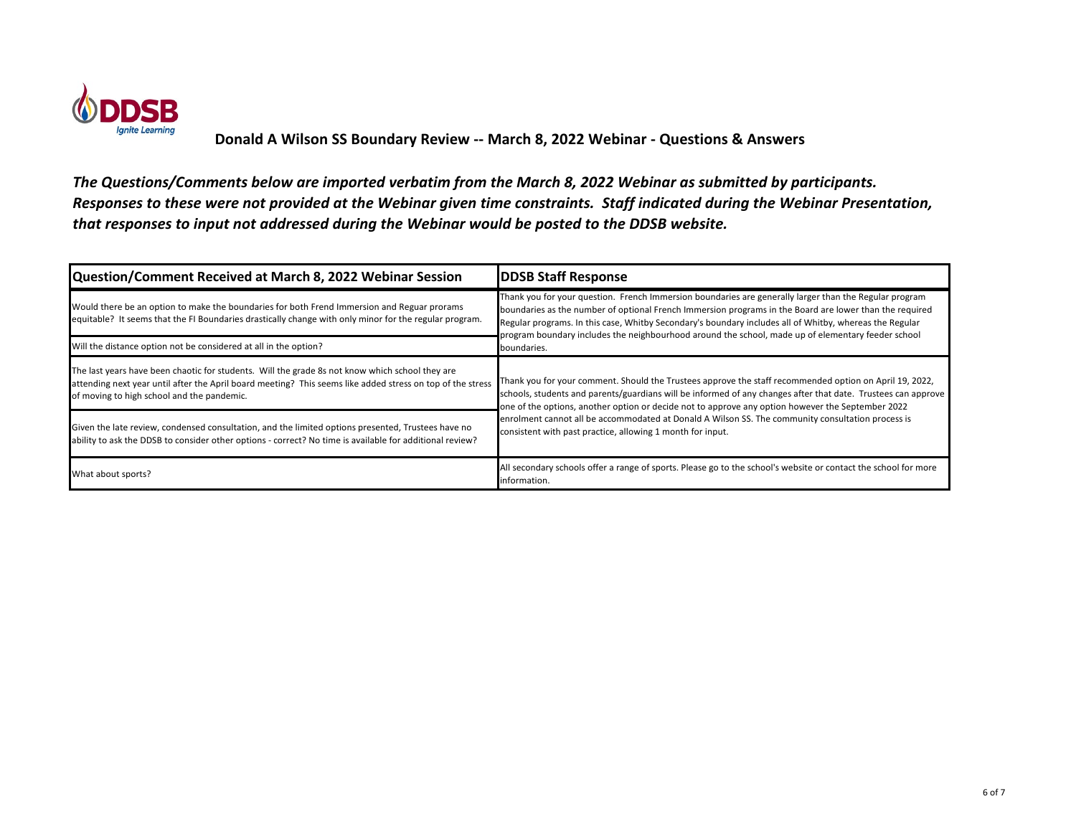

| Question/Comment Received at March 8, 2022 Webinar Session                                                                                                                                                                                                  | <b>DDSB Staff Response</b>                                                                                                                                                                                                                                                                                                                                                                                                                                                                       |
|-------------------------------------------------------------------------------------------------------------------------------------------------------------------------------------------------------------------------------------------------------------|--------------------------------------------------------------------------------------------------------------------------------------------------------------------------------------------------------------------------------------------------------------------------------------------------------------------------------------------------------------------------------------------------------------------------------------------------------------------------------------------------|
| Would there be an option to make the boundaries for both Frend Immersion and Reguar prorams<br>equitable? It seems that the FI Boundaries drastically change with only minor for the regular program.                                                       | Thank you for your question. French Immersion boundaries are generally larger than the Regular program<br>boundaries as the number of optional French Immersion programs in the Board are lower than the required<br>Regular programs. In this case, Whitby Secondary's boundary includes all of Whitby, whereas the Regular<br>program boundary includes the neighbourhood around the school, made up of elementary feeder school<br>boundaries.                                                |
| Will the distance option not be considered at all in the option?                                                                                                                                                                                            |                                                                                                                                                                                                                                                                                                                                                                                                                                                                                                  |
| The last years have been chaotic for students. Will the grade 8s not know which school they are<br>attending next year until after the April board meeting? This seems like added stress on top of the stress<br>of moving to high school and the pandemic. | Thank you for your comment. Should the Trustees approve the staff recommended option on April 19, 2022,<br>schools, students and parents/guardians will be informed of any changes after that date. Trustees can approve<br>one of the options, another option or decide not to approve any option however the September 2022<br>enrolment cannot all be accommodated at Donald A Wilson SS. The community consultation process is<br>consistent with past practice, allowing 1 month for input. |
| Given the late review, condensed consultation, and the limited options presented, Trustees have no<br>ability to ask the DDSB to consider other options - correct? No time is available for additional review?                                              |                                                                                                                                                                                                                                                                                                                                                                                                                                                                                                  |
| What about sports?                                                                                                                                                                                                                                          | All secondary schools offer a range of sports. Please go to the school's website or contact the school for more<br>information.                                                                                                                                                                                                                                                                                                                                                                  |